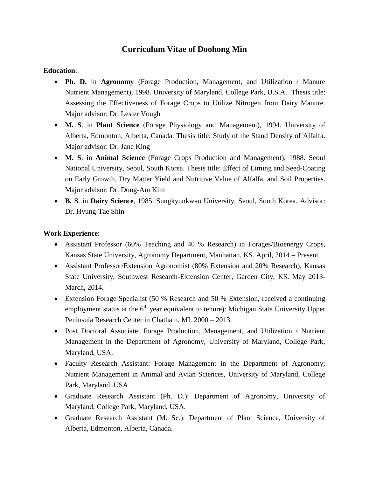# **Curriculum Vitae of Doohong Min**

#### **Education**:

- **Ph. D.** in **Agronomy** (Forage Production, Management, and Utilization / Manure Nutrient Management), 1998. University of Maryland, College Park, U.S.A. Thesis title: Assessing the Effectiveness of Forage Crops to Utilize Nitrogen from Dairy Manure. Major advisor: Dr. Lester Vough
- **M. S**. in **Plant Science** (Forage Physiology and Management), 1994. University of Alberta, Edmonton, Alberta, Canada. Thesis title: Study of the Stand Density of Alfalfa. Major advisor: Dr. Jane King
- **M. S**. in **Animal Science** (Forage Crops Production and Management), 1988. Seoul National University, Seoul, South Korea. Thesis title: Effect of Liming and Seed-Coating on Early Growth, Dry Matter Yield and Nutritive Value of Alfalfa, and Soil Properties. Major advisor: Dr. Dong-Am Kim
- **B. S**. in **Dairy Science**, 1985. Sungkyunkwan University, Seoul, South Korea. Advisor: Dr. Hyung-Tae Shin

#### **Work Experience**:

- Assistant Professor (60% Teaching and 40 % Research) in Forages/Bioenergy Crops, Kansas State University, Agronomy Department, Manhattan, KS. April, 2014 – Present.
- Assistant Professor/Extension Agronomist (80% Extension and 20% Research), Kansas State University, Southwest Research-Extension Center, Garden City, KS. May 2013- March, 2014.
- Extension Forage Specialist (50 % Research and 50 % Extension, received a continuing employment status at the  $6<sup>th</sup>$  year equivalent to tenure): Michigan State University Upper Peninsula Research Center in Chatham, MI. 2000 – 2013.
- Post Doctoral Associate: Forage Production, Management, and Utilization / Nutrient Management in the Department of Agronomy, University of Maryland, College Park, Maryland, USA.
- Faculty Research Assistant: Forage Management in the Department of Agronomy; Nutrient Management in Animal and Avian Sciences, University of Maryland, College Park, Maryland, USA.
- Graduate Research Assistant (Ph. D.): Department of Agronomy, University of Maryland, College Park, Maryland, USA.
- Graduate Research Assistant (M. Sc.): Department of Plant Science, University of Alberta, Edmonton, Alberta, Canada.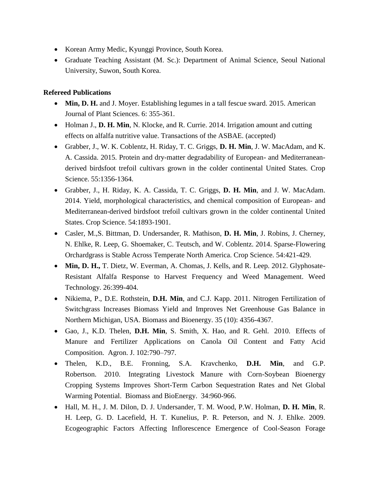- Korean Army Medic, Kyunggi Province, South Korea.
- Graduate Teaching Assistant (M. Sc.): Department of Animal Science, Seoul National University, Suwon, South Korea.

# **Refereed Publications**

- Min, D. H. and J. Moyer. Establishing legumes in a tall fescue sward. 2015. American Journal of Plant Sciences. 6: 355-361.
- Holman J., **D. H. Min**, N. Klocke, and R. Currie. 2014. Irrigation amount and cutting effects on alfalfa nutritive value. Transactions of the ASBAE. (accepted)
- Grabber, J., W. K. Coblentz, H. Riday, T. C. Griggs, **D. H. Min**, J. W. MacAdam, and K. A. Cassida. 2015. Protein and dry-matter degradability of European- and Mediterraneanderived birdsfoot trefoil cultivars grown in the colder continental United States. Crop Science. 55:1356-1364.
- Grabber, J., H. Riday, K. A. Cassida, T. C. Griggs, **D. H. Min**, and J. W. MacAdam. 2014. Yield, morphological characteristics, and chemical composition of European- and Mediterranean-derived birdsfoot trefoil cultivars grown in the colder continental United States. Crop Science. 54:1893-1901.
- Casler, M.,S. Bittman, D. Undersander, R. Mathison, **D. H. Min**, J. Robins, J. Cherney, N. Ehlke, R. Leep, G. Shoemaker, C. Teutsch, and W. Coblentz. 2014. Sparse-Flowering Orchardgrass is Stable Across Temperate North America. Crop Science. 54:421-429.
- **Min, D. H.,** T. Dietz, W. Everman, A. Chomas, J. Kells, and R. Leep. 2012. Glyphosate-Resistant Alfalfa Response to Harvest Frequency and Weed Management. Weed Technology. 26:399-404.
- Nikiema, P., D.E. Rothstein, **D.H. Min**, and C.J. Kapp. 2011. Nitrogen Fertilization of Switchgrass Increases Biomass Yield and Improves Net Greenhouse Gas Balance in Northern Michigan, USA. Biomass and Bioenergy. 35 (10): 4356-4367.
- Gao, J., K.D. Thelen, **D.H. Min**, S. Smith, X. Hao, and R. Gehl. 2010. Effects of Manure and Fertilizer Applications on Canola Oil Content and Fatty Acid Composition. Agron. J. 102:790–797.
- Thelen, K.D., B.E. Fronning, S.A. Kravchenko, **D.H. Min**, and G.P. Robertson. 2010. Integrating Livestock Manure with Corn-Soybean Bioenergy Cropping Systems Improves Short-Term Carbon Sequestration Rates and Net Global Warming Potential. Biomass and BioEnergy. 34:960-966.
- Hall, M. H., J. M. Dilon, D. J. Undersander, T. M. Wood, P.W. Holman, **D. H. Min**, R. H. Leep, G. D. Lacefield, H. T. Kunelius, P. R. Peterson, and N. J. Ehlke. 2009. Ecogeographic Factors Affecting Inflorescence Emergence of Cool-Season Forage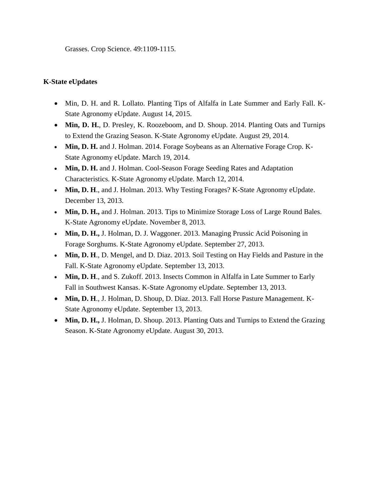Grasses. Crop Science. 49:1109-1115.

### **K-State eUpdates**

- Min, D. H. and R. Lollato. Planting Tips of Alfalfa in Late Summer and Early Fall. K-State Agronomy eUpdate. August 14, 2015.
- **Min, D. H.**, D. Presley, K. Roozeboom, and D. Shoup. 2014. Planting Oats and Turnips to Extend the Grazing Season. K-State Agronomy eUpdate. August 29, 2014.
- **Min, D. H.** and J. Holman. 2014. Forage Soybeans as an Alternative Forage Crop. K-State Agronomy eUpdate. March 19, 2014.
- Min, D. H. and J. Holman. Cool-Season Forage Seeding Rates and Adaptation Characteristics. K-State Agronomy eUpdate. March 12, 2014.
- Min, D. H., and J. Holman. 2013. Why Testing Forages? K-State Agronomy eUpdate. December 13, 2013.
- Min, D. H., and J. Holman. 2013. Tips to Minimize Storage Loss of Large Round Bales. K-State Agronomy eUpdate. November 8, 2013.
- **Min, D. H.,** J. Holman, D. J. Waggoner. 2013. Managing Prussic Acid Poisoning in Forage Sorghums. K-State Agronomy eUpdate. September 27, 2013.
- **Min, D. H**., D. Mengel, and D. Diaz. 2013. Soil Testing on Hay Fields and Pasture in the Fall. K-State Agronomy eUpdate. September 13, 2013.
- **Min, D. H**., and S. Zukoff. 2013. Insects Common in Alfalfa in Late Summer to Early Fall in Southwest Kansas. K-State Agronomy eUpdate. September 13, 2013.
- **Min, D. H**., J. Holman, D. Shoup, D. Diaz. 2013. Fall Horse Pasture Management. K-State Agronomy eUpdate. September 13, 2013.
- Min, D. H., J. Holman, D. Shoup. 2013. Planting Oats and Turnips to Extend the Grazing Season. K-State Agronomy eUpdate. August 30, 2013.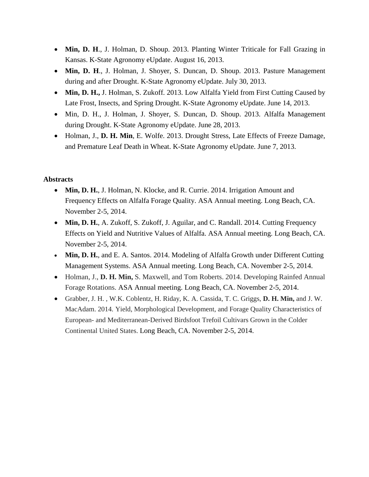- **Min, D. H**., J. Holman, D. Shoup. 2013. Planting Winter Triticale for Fall Grazing in Kansas. K-State Agronomy eUpdate. August 16, 2013.
- **Min, D. H**., J. Holman, J. Shoyer, S. Duncan, D. Shoup. 2013. Pasture Management during and after Drought. K-State Agronomy eUpdate. July 30, 2013.
- Min, D. H., J. Holman, S. Zukoff. 2013. Low Alfalfa Yield from First Cutting Caused by Late Frost, Insects, and Spring Drought. K-State Agronomy eUpdate. June 14, 2013.
- Min, D. H., J. Holman, J. Shoyer, S. Duncan, D. Shoup. 2013. Alfalfa Management during Drought. K-State Agronomy eUpdate. June 28, 2013.
- Holman, J., **D. H. Min**, E. Wolfe. 2013. [Drought Stress, Late Effects of Freeze Damage,](http://www.agronomy.ksu.edu/doc4314.ashx)  [and Premature Leaf Death in Wheat.](http://www.agronomy.ksu.edu/doc4314.ashx) K-State Agronomy eUpdate. June 7, 2013.

# **Abstracts**

- **Min, D. H.**, J. Holman, N. Klocke, and R. Currie. 2014. Irrigation Amount and Frequency Effects on Alfalfa Forage Quality. ASA Annual meeting. Long Beach, CA. November 2-5, 2014.
- Min, D. H., A. Zukoff, S. Zukoff, J. Aguilar, and C. Randall. 2014. Cutting Frequency Effects on Yield and Nutritive Values of Alfalfa. ASA Annual meeting. Long Beach, CA. November 2-5, 2014.
- Min, D. H., and E. A. Santos. 2014. Modeling of Alfalfa Growth under Different Cutting Management Systems. ASA Annual meeting. Long Beach, CA. November 2-5, 2014.
- Holman, J., **D. H. Min,** S. Maxwell, and Tom Roberts. 2014. Developing Rainfed Annual Forage Rotations. ASA Annual meeting. Long Beach, CA. November 2-5, 2014.
- Grabber, J. H. , W.K. Coblentz, H. Riday, K. A. Cassida, T. C. Griggs, **D. H. Min,** and J. W. MacAdam. 2014. Yield, Morphological Development, and Forage Quality Characteristics of European- and Mediterranean-Derived Birdsfoot Trefoil Cultivars Grown in the Colder Continental United States. Long Beach, CA. November 2-5, 2014.